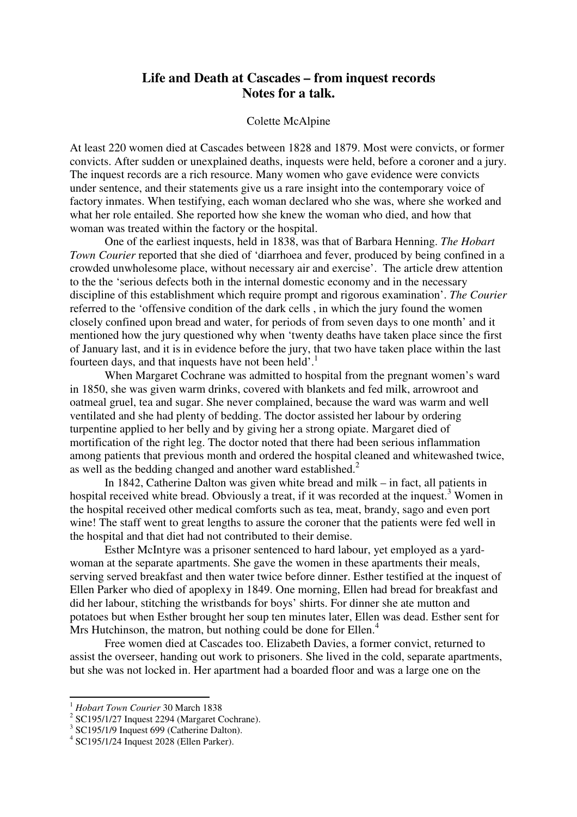# **Life and Death at Cascades – from inquest records Notes for a talk.**

#### Colette McAlpine

At least 220 women died at Cascades between 1828 and 1879. Most were convicts, or former convicts. After sudden or unexplained deaths, inquests were held, before a coroner and a jury. The inquest records are a rich resource. Many women who gave evidence were convicts under sentence, and their statements give us a rare insight into the contemporary voice of factory inmates. When testifying, each woman declared who she was, where she worked and what her role entailed. She reported how she knew the woman who died, and how that woman was treated within the factory or the hospital.

One of the earliest inquests, held in 1838, was that of Barbara Henning. *The Hobart Town Courier* reported that she died of 'diarrhoea and fever, produced by being confined in a crowded unwholesome place, without necessary air and exercise'. The article drew attention to the the 'serious defects both in the internal domestic economy and in the necessary discipline of this establishment which require prompt and rigorous examination'. *The Courier* referred to the 'offensive condition of the dark cells , in which the jury found the women closely confined upon bread and water, for periods of from seven days to one month' and it mentioned how the jury questioned why when 'twenty deaths have taken place since the first of January last, and it is in evidence before the jury, that two have taken place within the last fourteen days, and that inquests have not been held'.<sup>1</sup>

When Margaret Cochrane was admitted to hospital from the pregnant women's ward in 1850, she was given warm drinks, covered with blankets and fed milk, arrowroot and oatmeal gruel, tea and sugar. She never complained, because the ward was warm and well ventilated and she had plenty of bedding. The doctor assisted her labour by ordering turpentine applied to her belly and by giving her a strong opiate. Margaret died of mortification of the right leg. The doctor noted that there had been serious inflammation among patients that previous month and ordered the hospital cleaned and whitewashed twice, as well as the bedding changed and another ward established.<sup>2</sup>

In 1842, Catherine Dalton was given white bread and milk – in fact, all patients in hospital received white bread. Obviously a treat, if it was recorded at the inquest.<sup>3</sup> Women in the hospital received other medical comforts such as tea, meat, brandy, sago and even port wine! The staff went to great lengths to assure the coroner that the patients were fed well in the hospital and that diet had not contributed to their demise.

Esther McIntyre was a prisoner sentenced to hard labour, yet employed as a yardwoman at the separate apartments. She gave the women in these apartments their meals, serving served breakfast and then water twice before dinner. Esther testified at the inquest of Ellen Parker who died of apoplexy in 1849. One morning, Ellen had bread for breakfast and did her labour, stitching the wristbands for boys' shirts. For dinner she ate mutton and potatoes but when Esther brought her soup ten minutes later, Ellen was dead. Esther sent for Mrs Hutchinson, the matron, but nothing could be done for Ellen.<sup>4</sup>

Free women died at Cascades too. Elizabeth Davies, a former convict, returned to assist the overseer, handing out work to prisoners. She lived in the cold, separate apartments, but she was not locked in. Her apartment had a boarded floor and was a large one on the

l

<sup>1</sup> *Hobart Town Courier* 30 March 1838

 $2^{2}$  SC195/1/27 Inquest 2294 (Margaret Cochrane).

<sup>&</sup>lt;sup>3</sup> SC195/1/9 Inquest 699 (Catherine Dalton).

<sup>4</sup> SC195/1/24 Inquest 2028 (Ellen Parker).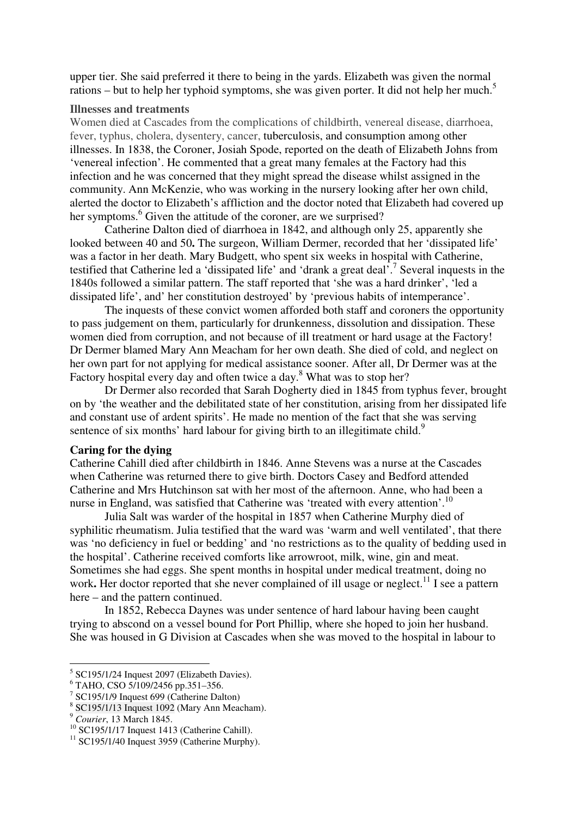upper tier. She said preferred it there to being in the yards. Elizabeth was given the normal rations – but to help her typhoid symptoms, she was given porter. It did not help her much.<sup>5</sup>

#### **Illnesses and treatments**

Women died at Cascades from the complications of childbirth, venereal disease, diarrhoea, fever, typhus, cholera, dysentery, cancer, tuberculosis, and consumption among other illnesses. In 1838, the Coroner, Josiah Spode, reported on the death of Elizabeth Johns from 'venereal infection'. He commented that a great many females at the Factory had this infection and he was concerned that they might spread the disease whilst assigned in the community. Ann McKenzie, who was working in the nursery looking after her own child, alerted the doctor to Elizabeth's affliction and the doctor noted that Elizabeth had covered up her symptoms.<sup>6</sup> Given the attitude of the coroner, are we surprised?

Catherine Dalton died of diarrhoea in 1842, and although only 25, apparently she looked between 40 and 50. The surgeon, William Dermer, recorded that her 'dissipated life' was a factor in her death. Mary Budgett, who spent six weeks in hospital with Catherine, testified that Catherine led a 'dissipated life' and 'drank a great deal'.<sup>7</sup> Several inquests in the 1840s followed a similar pattern. The staff reported that 'she was a hard drinker', 'led a dissipated life', and' her constitution destroyed' by 'previous habits of intemperance'.

The inquests of these convict women afforded both staff and coroners the opportunity to pass judgement on them, particularly for drunkenness, dissolution and dissipation. These women died from corruption, and not because of ill treatment or hard usage at the Factory! Dr Dermer blamed Mary Ann Meacham for her own death. She died of cold, and neglect on her own part for not applying for medical assistance sooner. After all, Dr Dermer was at the Factory hospital every day and often twice a day.<sup>8</sup> What was to stop her?

Dr Dermer also recorded that Sarah Dogherty died in 1845 from typhus fever, brought on by 'the weather and the debilitated state of her constitution, arising from her dissipated life and constant use of ardent spirits'. He made no mention of the fact that she was serving sentence of six months' hard labour for giving birth to an illegitimate child.<sup>9</sup>

#### **Caring for the dying**

Catherine Cahill died after childbirth in 1846. Anne Stevens was a nurse at the Cascades when Catherine was returned there to give birth. Doctors Casey and Bedford attended Catherine and Mrs Hutchinson sat with her most of the afternoon. Anne, who had been a nurse in England, was satisfied that Catherine was 'treated with every attention'.<sup>10</sup>

Julia Salt was warder of the hospital in 1857 when Catherine Murphy died of syphilitic rheumatism. Julia testified that the ward was 'warm and well ventilated', that there was 'no deficiency in fuel or bedding' and 'no restrictions as to the quality of bedding used in the hospital'. Catherine received comforts like arrowroot, milk, wine, gin and meat. Sometimes she had eggs. She spent months in hospital under medical treatment, doing no work. Her doctor reported that she never complained of ill usage or neglect.<sup>11</sup> I see a pattern here – and the pattern continued.

In 1852, Rebecca Daynes was under sentence of hard labour having been caught trying to abscond on a vessel bound for Port Phillip, where she hoped to join her husband. She was housed in G Division at Cascades when she was moved to the hospital in labour to

l

<sup>&</sup>lt;sup>5</sup> SC195/1/24 Inquest 2097 (Elizabeth Davies).

<sup>6</sup> TAHO, CSO 5/109/2456 pp.351–356.

<sup>7</sup> SC195/1/9 Inquest 699 (Catherine Dalton)

<sup>8</sup> SC195/1/13 Inquest 1092 (Mary Ann Meacham).

<sup>9</sup> *Courier*, 13 March 1845.

<sup>10</sup> SC195/1/17 Inquest 1413 (Catherine Cahill).

 $11$  SC195/1/40 Inquest 3959 (Catherine Murphy).